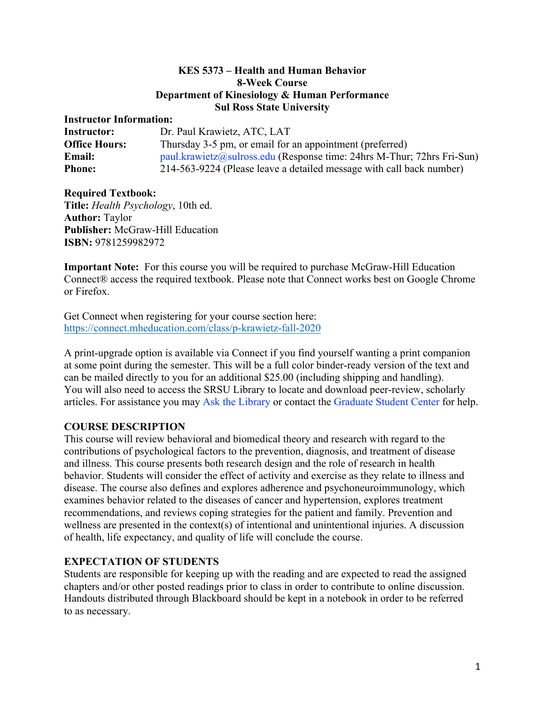#### **KES 5373 – Health and Human Behavior 8-Week Course Department of Kinesiology & Human Performance Sul Ross State University**

### **Instructor Information:**

| <b>Instructor:</b>   | Dr. Paul Krawietz, ATC, LAT                                            |
|----------------------|------------------------------------------------------------------------|
| <b>Office Hours:</b> | Thursday 3-5 pm, or email for an appointment (preferred)               |
| <b>Email:</b>        | paul.krawietz@sulross.edu (Response time: 24hrs M-Thur; 72hrs Fri-Sun) |
| <b>Phone:</b>        | 214-563-9224 (Please leave a detailed message with call back number)   |

#### **Required Textbook:**

**Title:** *Health Psychology*, 10th ed. **Author:** Taylor **Publisher:** McGraw-Hill Education **ISBN:** 9781259982972

**Important Note:** For this course you will be required to purchase McGraw-Hill Education Connect® access the required textbook. Please note that Connect works best on Google Chrome or Firefox.

Get Connect when registering for your course section here: https://connect.mheducation.com/class/p-krawietz-fall-2020

A print-upgrade option is available via Connect if you find yourself wanting a print companion at some point during the semester. This will be a full color binder-ready version of the text and can be mailed directly to you for an additional \$25.00 (including shipping and handling). You will also need to access the SRSU Library to locate and download peer-review, scholarly articles. For assistance you may Ask the Library or contact the Graduate Student Center for help.

## **COURSE DESCRIPTION**

This course will review behavioral and biomedical theory and research with regard to the contributions of psychological factors to the prevention, diagnosis, and treatment of disease and illness. This course presents both research design and the role of research in health behavior. Students will consider the effect of activity and exercise as they relate to illness and disease. The course also defines and explores adherence and psychoneuroimmunology, which examines behavior related to the diseases of cancer and hypertension, explores treatment recommendations, and reviews coping strategies for the patient and family. Prevention and wellness are presented in the context(s) of intentional and unintentional injuries. A discussion of health, life expectancy, and quality of life will conclude the course.

## **EXPECTATION OF STUDENTS**

Students are responsible for keeping up with the reading and are expected to read the assigned chapters and/or other posted readings prior to class in order to contribute to online discussion. Handouts distributed through Blackboard should be kept in a notebook in order to be referred to as necessary.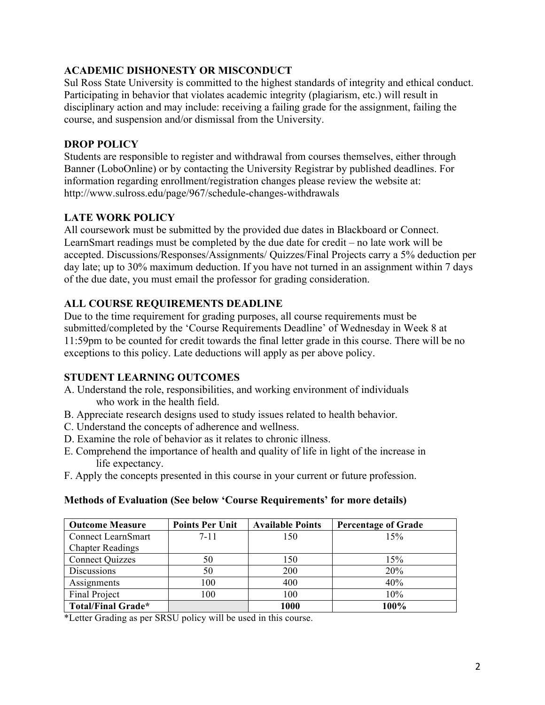# **ACADEMIC DISHONESTY OR MISCONDUCT**

Sul Ross State University is committed to the highest standards of integrity and ethical conduct. Participating in behavior that violates academic integrity (plagiarism, etc.) will result in disciplinary action and may include: receiving a failing grade for the assignment, failing the course, and suspension and/or dismissal from the University.

## **DROP POLICY**

Students are responsible to register and withdrawal from courses themselves, either through Banner (LoboOnline) or by contacting the University Registrar by published deadlines. For information regarding enrollment/registration changes please review the website at: http://www.sulross.edu/page/967/schedule-changes-withdrawals

# **LATE WORK POLICY**

All coursework must be submitted by the provided due dates in Blackboard or Connect. LearnSmart readings must be completed by the due date for credit – no late work will be accepted. Discussions/Responses/Assignments/ Quizzes/Final Projects carry a 5% deduction per day late; up to 30% maximum deduction. If you have not turned in an assignment within 7 days of the due date, you must email the professor for grading consideration.

# **ALL COURSE REQUIREMENTS DEADLINE**

Due to the time requirement for grading purposes, all course requirements must be submitted/completed by the 'Course Requirements Deadline' of Wednesday in Week 8 at 11:59pm to be counted for credit towards the final letter grade in this course. There will be no exceptions to this policy. Late deductions will apply as per above policy.

# **STUDENT LEARNING OUTCOMES**

- A. Understand the role, responsibilities, and working environment of individuals who work in the health field.
- B. Appreciate research designs used to study issues related to health behavior.
- C. Understand the concepts of adherence and wellness.
- D. Examine the role of behavior as it relates to chronic illness.
- E. Comprehend the importance of health and quality of life in light of the increase in life expectancy.
- F. Apply the concepts presented in this course in your current or future profession.

## **Methods of Evaluation (See below 'Course Requirements' for more details)**

| <b>Outcome Measure</b>    | <b>Points Per Unit</b> | <b>Available Points</b> | <b>Percentage of Grade</b> |
|---------------------------|------------------------|-------------------------|----------------------------|
| Connect LearnSmart        | $7 - 11$               | 150                     | 15%                        |
| <b>Chapter Readings</b>   |                        |                         |                            |
| <b>Connect Quizzes</b>    | 50                     | 150                     | 15%                        |
| Discussions               | 50                     | 200                     | 20%                        |
| Assignments               | 100                    | 400                     | 40%                        |
| Final Project             | 100                    | 100                     | 10%                        |
| <b>Total/Final Grade*</b> |                        | 1000                    | 100%                       |

\*Letter Grading as per SRSU policy will be used in this course.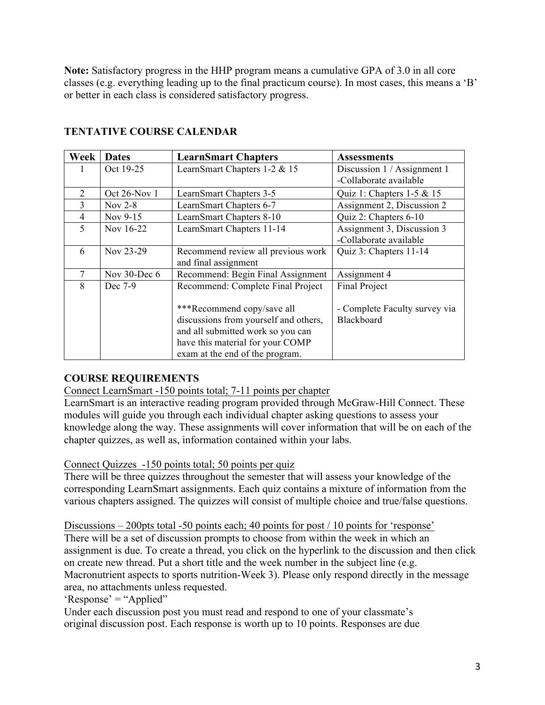**Note:** Satisfactory progress in the HHP program means a cumulative GPA of 3.0 in all core classes (e.g. everything leading up to the final practicum course). In most cases, this means a 'B' or better in each class is considered satisfactory progress.

| Week           | <b>Dates</b> | <b>LearnSmart Chapters</b>                                                                                                                                                      | <b>Assessments</b>                          |
|----------------|--------------|---------------------------------------------------------------------------------------------------------------------------------------------------------------------------------|---------------------------------------------|
|                | Oct 19-25    | LearnSmart Chapters 1-2 & 15                                                                                                                                                    | Discussion 1 / Assignment 1                 |
|                |              |                                                                                                                                                                                 | -Collaborate available                      |
| $\overline{2}$ | Oct 26-Nov 1 | LearnSmart Chapters 3-5                                                                                                                                                         | Quiz 1: Chapters $1-5 & 15$                 |
| $\overline{3}$ | Nov $2-8$    | LearnSmart Chapters 6-7                                                                                                                                                         | Assignment 2, Discussion 2                  |
| $\overline{4}$ | Nov 9-15     | LearnSmart Chapters 8-10                                                                                                                                                        | Quiz 2: Chapters 6-10                       |
| 5              | Nov 16-22    | LearnSmart Chapters 11-14                                                                                                                                                       | Assignment 3, Discussion 3                  |
|                |              |                                                                                                                                                                                 | -Collaborate available                      |
| 6              | Nov 23-29    | Recommend review all previous work                                                                                                                                              | Quiz 3: Chapters 11-14                      |
|                |              | and final assignment                                                                                                                                                            |                                             |
| $\overline{7}$ | Nov 30-Dec 6 | Recommend: Begin Final Assignment                                                                                                                                               | Assignment 4                                |
| 8              | Dec 7-9      | Recommend: Complete Final Project                                                                                                                                               | <b>Final Project</b>                        |
|                |              | ***Recommend copy/save all<br>discussions from yourself and others,<br>and all submitted work so you can<br>have this material for your COMP<br>exam at the end of the program. | - Complete Faculty survey via<br>Blackboard |

# **TENTATIVE COURSE CALENDAR**

## **COURSE REQUIREMENTS**

Connect LearnSmart -150 points total; 7-11 points per chapter

LearnSmart is an interactive reading program provided through McGraw-Hill Connect. These modules will guide you through each individual chapter asking questions to assess your knowledge along the way. These assignments will cover information that will be on each of the chapter quizzes, as well as, information contained within your labs.

Connect Quizzes -150 points total; 50 points per quiz

There will be three quizzes throughout the semester that will assess your knowledge of the corresponding LearnSmart assignments. Each quiz contains a mixture of information from the various chapters assigned. The quizzes will consist of multiple choice and true/false questions.

Discussions – 200pts total -50 points each; 40 points for post / 10 points for 'response' There will be a set of discussion prompts to choose from within the week in which an assignment is due. To create a thread, you click on the hyperlink to the discussion and then click on create new thread. Put a short title and the week number in the subject line (e.g. Macronutrient aspects to sports nutrition-Week 3). Please only respond directly in the message area, no attachments unless requested.

'Response' = "Applied"

Under each discussion post you must read and respond to one of your classmate's original discussion post. Each response is worth up to 10 points. Responses are due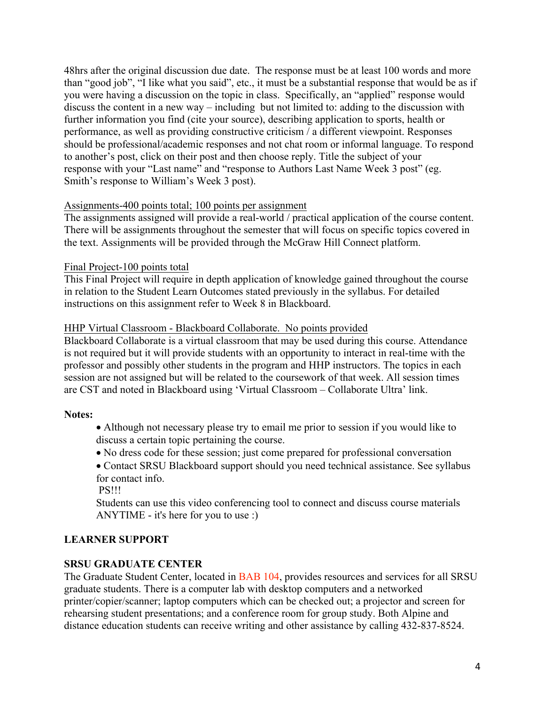48hrs after the original discussion due date. The response must be at least 100 words and more than "good job", "I like what you said", etc., it must be a substantial response that would be as if you were having a discussion on the topic in class. Specifically, an "applied" response would discuss the content in a new way – including but not limited to: adding to the discussion with further information you find (cite your source), describing application to sports, health or performance, as well as providing constructive criticism / a different viewpoint. Responses should be professional/academic responses and not chat room or informal language. To respond to another's post, click on their post and then choose reply. Title the subject of your response with your "Last name" and "response to Authors Last Name Week 3 post" (eg. Smith's response to William's Week 3 post).

### Assignments-400 points total; 100 points per assignment

The assignments assigned will provide a real-world / practical application of the course content. There will be assignments throughout the semester that will focus on specific topics covered in the text. Assignments will be provided through the McGraw Hill Connect platform.

#### Final Project-100 points total

This Final Project will require in depth application of knowledge gained throughout the course in relation to the Student Learn Outcomes stated previously in the syllabus. For detailed instructions on this assignment refer to Week 8 in Blackboard.

### HHP Virtual Classroom - Blackboard Collaborate. No points provided

Blackboard Collaborate is a virtual classroom that may be used during this course. Attendance is not required but it will provide students with an opportunity to interact in real-time with the professor and possibly other students in the program and HHP instructors. The topics in each session are not assigned but will be related to the coursework of that week. All session times are CST and noted in Blackboard using 'Virtual Classroom – Collaborate Ultra' link.

#### **Notes:**

• Although not necessary please try to email me prior to session if you would like to discuss a certain topic pertaining the course.

- No dress code for these session; just come prepared for professional conversation
- Contact SRSU Blackboard support should you need technical assistance. See syllabus for contact info.

PS!!!

Students can use this video conferencing tool to connect and discuss course materials ANYTIME - it's here for you to use :)

## **LEARNER SUPPORT**

## **SRSU GRADUATE CENTER**

The Graduate Student Center, located in BAB 104, provides resources and services for all SRSU graduate students. There is a computer lab with desktop computers and a networked printer/copier/scanner; laptop computers which can be checked out; a projector and screen for rehearsing student presentations; and a conference room for group study. Both Alpine and distance education students can receive writing and other assistance by calling 432-837-8524.